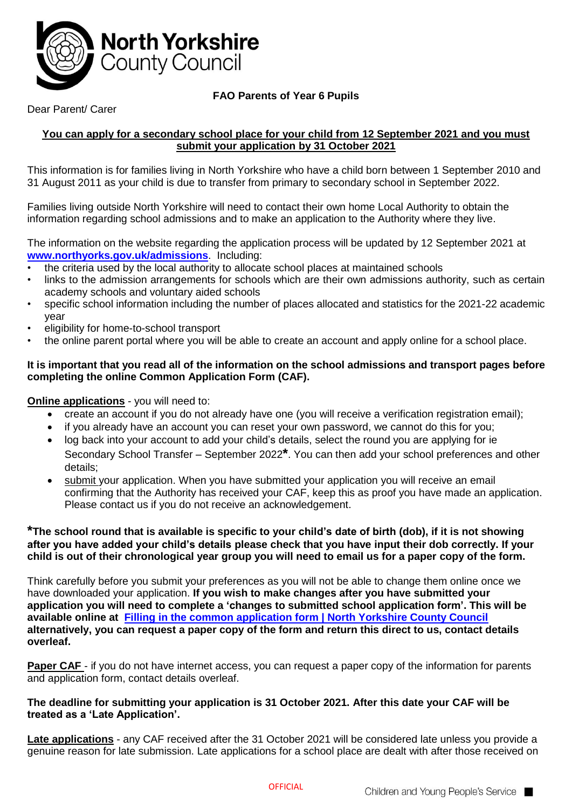

# **FAO Parents of Year 6 Pupils**

# Dear Parent/ Carer

# **You can apply for a secondary school place for your child from 12 September 2021 and you must submit your application by 31 October 2021**

This information is for families living in North Yorkshire who have a child born between 1 September 2010 and 31 August 2011 as your child is due to transfer from primary to secondary school in September 2022.

Families living outside North Yorkshire will need to contact their own home Local Authority to obtain the information regarding school admissions and to make an application to the Authority where they live.

The information on the website regarding the application process will be updated by 12 September 2021 at **[www.northyorks.gov.uk/admissions](http://www.northyorks.gov.uk/admissions)**. Including:

- the criteria used by the local authority to allocate school places at maintained schools
- links to the admission arrangements for schools which are their own admissions authority, such as certain academy schools and voluntary aided schools
- specific school information including the number of places allocated and statistics for the 2021-22 academic year
- eligibility for home-to-school transport
- the online parent portal where you will be able to create an account and apply online for a school place.

#### **It is important that you read all of the information on the school admissions and transport pages before completing the online Common Application Form (CAF).**

## **Online applications** - you will need to:

- create an account if you do not already have one (you will receive a verification registration email);
- if you already have an account you can reset your own password, we cannot do this for you;
- log back into your account to add your child's details, select the round you are applying for ie Secondary School Transfer – September 2022**\***. You can then add your school preferences and other details;
- submit your application. When you have submitted your application you will receive an email confirming that the Authority has received your CAF, keep this as proof you have made an application. Please contact us if you do not receive an acknowledgement.

# **\*The school round that is available is specific to your child's date of birth (dob), if it is not showing after you have added your child's details please check that you have input their dob correctly. If your child is out of their chronological year group you will need to email us for a paper copy of the form.**

Think carefully before you submit your preferences as you will not be able to change them online once we have downloaded your application. **If you wish to make changes after you have submitted your application you will need to complete a 'changes to submitted school application form'. This will be available online at [Filling in the common application form | North Yorkshire County Council](https://www.northyorks.gov.uk/filling-common-application-form) alternatively, you can request a paper copy of the form and return this direct to us, contact details overleaf.**

**Paper CAF** - if you do not have internet access, you can request a paper copy of the information for parents and application form, contact details overleaf.

# **The deadline for submitting your application is 31 October 2021. After this date your CAF will be treated as a 'Late Application'.**

**Late applications** - any CAF received after the 31 October 2021 will be considered late unless you provide a genuine reason for late submission. Late applications for a school place are dealt with after those received on